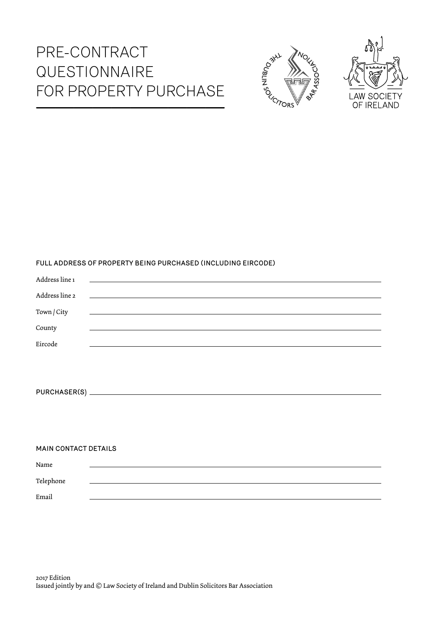# PRE-CONTRACT **QUESTIONNAIRE** FOR PROPERTY PURCHASE





# FULL ADDRESS OF PROPERTY BEING PURCHASED (INCLUDING EIRCODE)

| Address line 1 | <u> 1980 - John Stein, Amerikaansk politiker (</u>         |
|----------------|------------------------------------------------------------|
| Address line 2 | <u> 1989 - John Stein, Amerikaansk politiker († 1908)</u>  |
| Town / City    | <u> 1989 - Johann Stein, mars and de Britain (b. 1989)</u> |
| County         |                                                            |
| Eircode        |                                                            |

PURCHASER(S)

## MAIN CONTACT DETAILS

| $\rm Name$ |  |
|------------|--|
| Telephone  |  |
| Email      |  |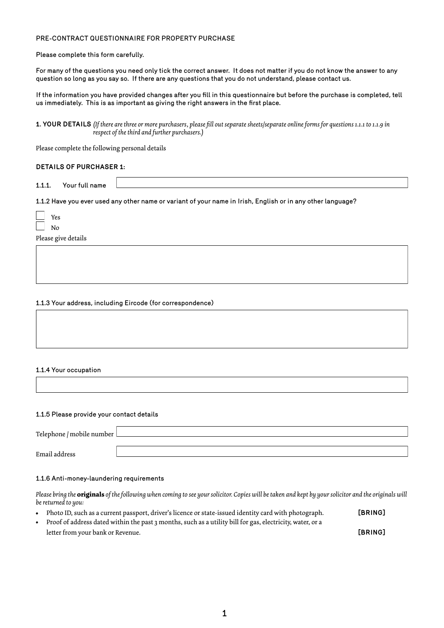## PRE-CONTRACT QUESTIONNAIRE FOR PROPERTY PURCHASE

Please complete this form carefully.

For many of the questions you need only tick the correct answer. It does not matter if you do not know the answer to any question so long as you say so. If there are any questions that you do not understand, please contact us.

If the information you have provided changes after you fill in this questionnaire but before the purchase is completed, tell us immediately. This is as important as giving the right answers in the first place.

**1. YOUR DETAILS** *(If there are three or more purchasers, please fill out separate sheets/separate online forms for questions 1.1.1 to 1.1.9 in respect of the third and further purchasers.)* 

Please complete the following personal details

## **DETAILS OF PURCHASER 1:**

1.1.1. Your full name

1.1.2 Have you ever used any other name or variant of your name in Irish, English or in any other language?

Please give details

#### 1.1.3 Your address, including Eircode (for correspondence)

#### 1.1.4 Your occupation

#### 1.1.5 Please provide your contact details

| Telephone / mobile number L |  |
|-----------------------------|--|
|                             |  |
| Email address               |  |

#### 1.1.6 Anti-money-laundering requirements

*Please bring the* **originals** *of the following when coming to see your solicitor. Copies will be taken and kept by your solicitor and the originals will be returned to you:* 

| Photo ID, such as a current passport, driver's licence or state-issued identity card with photograph.     | [BRING]        |
|-----------------------------------------------------------------------------------------------------------|----------------|
| Proof of address dated within the past 3 months, such as a utility bill for gas, electricity, water, or a |                |
| letter from your bank or Revenue.                                                                         | <b>FBRING1</b> |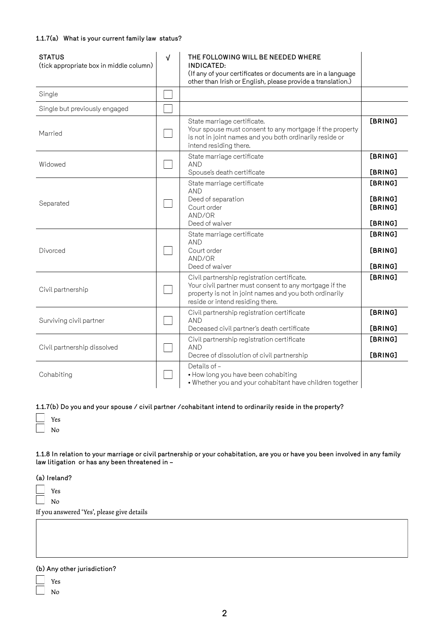## 1.1.7(a) What is your current family law status?

| <b>STATUS</b><br>(tick appropriate box in middle column) | $\sqrt{ }$ | THE FOLLOWING WILL BE NEEDED WHERE<br>INDICATED:<br>(If any of your certificates or documents are in a language<br>other than Irish or English, please provide a translation.)                      |                                          |
|----------------------------------------------------------|------------|-----------------------------------------------------------------------------------------------------------------------------------------------------------------------------------------------------|------------------------------------------|
| Single                                                   |            |                                                                                                                                                                                                     |                                          |
| Single but previously engaged                            |            |                                                                                                                                                                                                     |                                          |
| Married                                                  |            | State marriage certificate.<br>Your spouse must consent to any mortgage if the property<br>is not in joint names and you both ordinarily reside or<br>intend residing there.                        | [BRING]                                  |
| Widowed                                                  |            | State marriage certificate<br><b>AND</b><br>Spouse's death certificate                                                                                                                              | [BRING]<br>[BRING]                       |
| Separated                                                |            | State marriage certificate<br><b>AND</b><br>Deed of separation<br>Court order<br>AND/OR<br>Deed of waiver                                                                                           | [BRING]<br>[BRING]<br>[BRING]<br>[BRING] |
| Divorced                                                 |            | State marriage certificate<br><b>AND</b><br>Court order<br>AND/OR<br>Deed of waiver                                                                                                                 | [BRING]<br>[BRING]<br>[BRING]            |
| Civil partnership                                        |            | Civil partnership registration certificate.<br>Your civil partner must consent to any mortgage if the<br>property is not in joint names and you both ordinarily<br>reside or intend residing there. | [BRING]                                  |
| Surviving civil partner                                  |            | Civil partnership registration certificate<br><b>AND</b><br>Deceased civil partner's death certificate                                                                                              | [BRING]<br>[BRING]                       |
| Civil partnership dissolved                              |            | Civil partnership registration certificate<br><b>AND</b><br>Decree of dissolution of civil partnership                                                                                              | [BRING]<br>[BRING]                       |
| Cohabiting                                               |            | Details of -<br>• How long you have been cohabiting<br>. Whether you and your cohabitant have children together                                                                                     |                                          |

## 1.1.7(b) Do you and your spouse / civil partner /cohabitant intend to ordinarily reside in the property?

1.1.8 In relation to your marriage or civil partnership or your cohabitation, are you or have you been involved in any family law litigation or has any been threatened in –

(a) Ireland?

Yes

 $\mathcal{L}$ No

If you answered 'Yes', please give details

## (b) Any other jurisdiction?

Yes No

2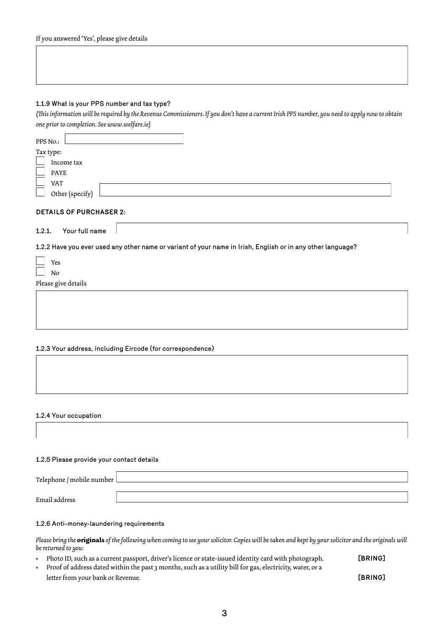## 1.1.9 What is your PPS number and tax type?

*(This information will be required by the Revenue Commissioners. If you don't have a current Irish PPS number, you need to apply now to obtain one prior to completion. See www.welfare.ie)*

| PPS No.:                                                                                                    |
|-------------------------------------------------------------------------------------------------------------|
| Tax type:                                                                                                   |
| Income tax                                                                                                  |
| <b>PAYE</b>                                                                                                 |
| <b>VAT</b>                                                                                                  |
| Other (specify)                                                                                             |
|                                                                                                             |
| <b>DETAILS OF PURCHASER 2:</b>                                                                              |
| Your full name<br>1.2.1.                                                                                    |
| 1.2.2 Have you ever used any other name or variant of your name in Irish, English or in any other language? |
| Yes<br>No                                                                                                   |
| Please give details                                                                                         |
|                                                                                                             |
|                                                                                                             |
|                                                                                                             |
|                                                                                                             |
|                                                                                                             |
|                                                                                                             |
| 1.2.3 Your address, including Eircode (for correspondence)                                                  |
|                                                                                                             |
|                                                                                                             |
|                                                                                                             |
|                                                                                                             |
|                                                                                                             |
| 1.2.4 Your occupation                                                                                       |
|                                                                                                             |
|                                                                                                             |
|                                                                                                             |
| 1.2.5 Please provide your contact details                                                                   |
|                                                                                                             |
| $-1$ 1 $1$ 1 1 $1$ 1 $1$                                                                                    |

Telephone / mobile number $\mathop{\llcorner}$ Email address

#### 1.2.6 Anti-money-laundering requirements

*Please bring the* **originals** *of the following when coming to see your solicitor. Copies will be taken and kept by your solicitor and the originals will be returned to you:* 

- Photo ID, such as a current passport, driver's licence or state-issued identity card with photograph. **[BRING]**
- Proof of address dated within the past 3 months, such as a utility bill for gas, electricity, water, or a letter from your bank or Revenue. **[BRING]**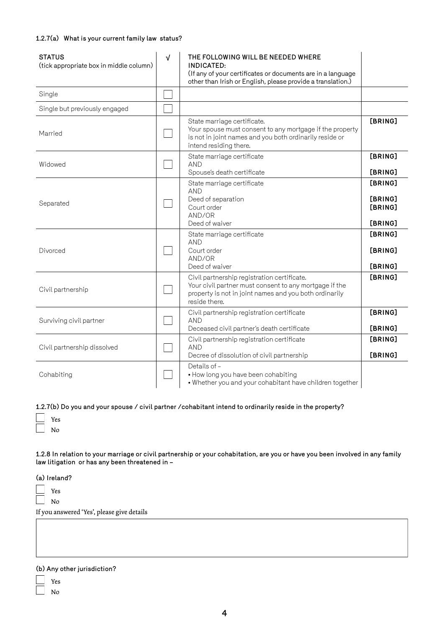## 1.2.7(a) What is your current family law status?

| <b>STATUS</b><br>(tick appropriate box in middle column) | $\sqrt{ }$ | THE FOLLOWING WILL BE NEEDED WHERE<br>INDICATED:<br>(If any of your certificates or documents are in a language<br>other than Irish or English, please provide a translation.)   |                                          |
|----------------------------------------------------------|------------|----------------------------------------------------------------------------------------------------------------------------------------------------------------------------------|------------------------------------------|
| Single                                                   |            |                                                                                                                                                                                  |                                          |
| Single but previously engaged                            |            |                                                                                                                                                                                  |                                          |
| Married                                                  |            | State marriage certificate.<br>Your spouse must consent to any mortgage if the property<br>is not in joint names and you both ordinarily reside or<br>intend residing there.     | [BRING]                                  |
| Widowed                                                  |            | State marriage certificate<br><b>AND</b><br>Spouse's death certificate                                                                                                           | [BRING]<br>[BRING]                       |
| Separated                                                |            | State marriage certificate<br><b>AND</b><br>Deed of separation<br>Court order<br>AND/OR<br>Deed of waiver                                                                        | [BRING]<br>[BRING]<br>[BRING]<br>[BRING] |
| Divorced                                                 |            | State marriage certificate<br><b>AND</b><br>Court order<br>AND/OR<br>Deed of waiver                                                                                              | [BRING]<br>[BRING]<br>[BRING]            |
| Civil partnership                                        |            | Civil partnership registration certificate.<br>Your civil partner must consent to any mortgage if the<br>property is not in joint names and you both ordinarily<br>reside there. | [BRING]                                  |
| Surviving civil partner                                  |            | Civil partnership registration certificate<br><b>AND</b><br>Deceased civil partner's death certificate                                                                           | [BRING]<br>[BRING]                       |
| Civil partnership dissolved                              |            | Civil partnership registration certificate<br><b>AND</b><br>Decree of dissolution of civil partnership                                                                           | [BRING]<br>[BRING]                       |
| Cohabiting                                               |            | Details of -<br>• How long you have been cohabiting<br>. Whether you and your cohabitant have children together                                                                  |                                          |

## 1.2.7(b) Do you and your spouse / civil partner /cohabitant intend to ordinarily reside in the property?

1.2.8 In relation to your marriage or civil partnership or your cohabitation, are you or have you been involved in any family law litigation or has any been threatened in –

(a) Ireland?

Yes

 $\mathbf{I}$ No

If you answered 'Yes', please give details

## (b) Any other jurisdiction?

Yes No

4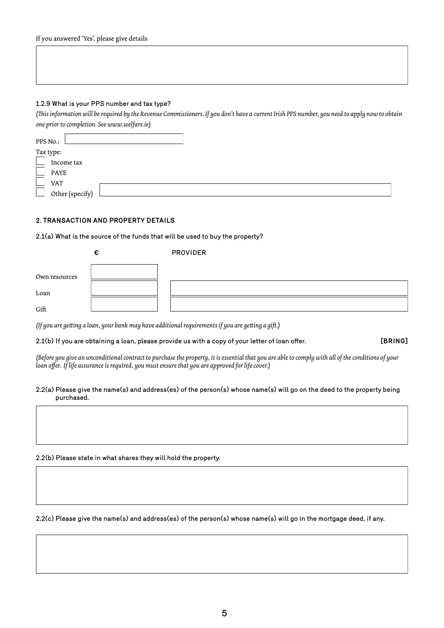## 1.2.9 What is your PPS number and tax type?

*(This information will be required by the Revenue Commissioners. If you don't have a current Irish PPS number, you need to apply now to obtain one prior to completion. See www.welfare.ie)*

| PPS No.:   |                 |  |  |
|------------|-----------------|--|--|
| Tax type:  |                 |  |  |
|            | Income tax      |  |  |
| PAYE       |                 |  |  |
| <b>VAT</b> |                 |  |  |
|            | Other (specify) |  |  |

## **2. TRANSACTION AND PROPERTY DETAILS**

2.1(a) What is the source of the funds that will be used to buy the property?

|               | € | <b>PROVIDER</b> |
|---------------|---|-----------------|
|               |   |                 |
| Own resources |   |                 |
| Loan          |   |                 |
| Gift          |   |                 |

*(If you are getting a loan, your bank may have additional requirements if you are getting a gift.)*

2.1(b) If you are obtaining a loan, please provide us with a copy of your letter of loan offer. **[BRING]**

*(Before you give an unconditional contract to purchase the property, it is essential that you are able to comply with all of the conditions of your loan offer. If life assurance is required, you must ensure that you are approved for life cover.)*

#### 2.2(a) Please give the name(s) and address(es) of the person(s) whose name(s) will go on the deed to the property being purchased.

2.2(b) Please state in what shares they will hold the property.

2.2(c) Please give the name(s) and address(es) of the person(s) whose name(s) will go in the mortgage deed, if any.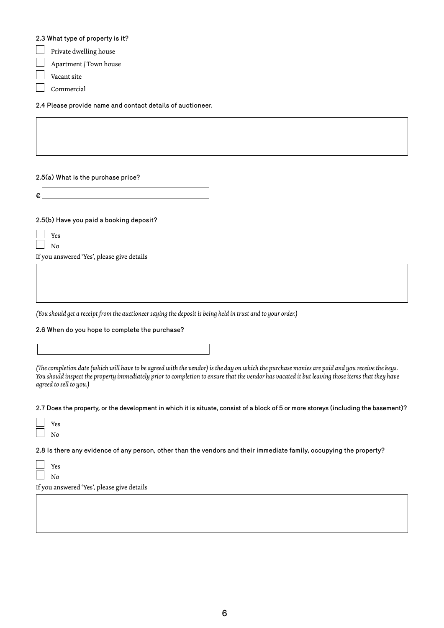|  |  |  |  | 2.3 What type of property is it? |  |  |
|--|--|--|--|----------------------------------|--|--|
|--|--|--|--|----------------------------------|--|--|

Private dwelling house

Apartment / Town house

Vacant site

Commercial

2.4 Please provide name and contact details of auctioneer.

2.5(a) What is the purchase price?

2.5(b) Have you paid a booking deposit?

€

If you answered 'Yes', please give details

*(You should get a receipt from the auctioneer saying the deposit is being held in trust and to your order.)*

2.6 When do you hope to complete the purchase?

*(The completion date (which will have to be agreed with the vendor) is the day on which the purchase monies are paid and you receive the keys. You should inspect the property immediately prior to completion to ensure that the vendor has vacated it but leaving those items that they have agreed to sell to you.)*

2.7 Does the property, or the development in which it is situate, consist of a block of 5 or more storeys (including the basement)?

| v |
|---|
|   |

2.8 Is there any evidence of any person, other than the vendors and their immediate family, occupying the property?

Yes No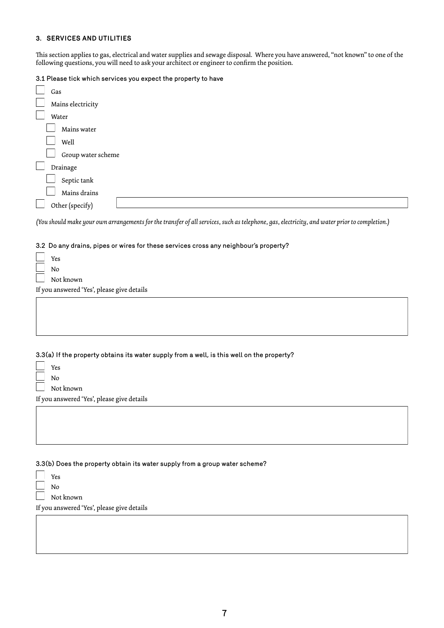## **3. SERVICES AND UTILITIES**

This section applies to gas, electrical and water supplies and sewage disposal. Where you have answered, "not known" to one of the following questions, you will need to ask your architect or engineer to confirm the position.

3.1 Please tick which services you expect the property to have

| Gas                                                                                                                                           |
|-----------------------------------------------------------------------------------------------------------------------------------------------|
| Mains electricity                                                                                                                             |
| Water                                                                                                                                         |
| Mains water                                                                                                                                   |
| Well                                                                                                                                          |
| Group water scheme                                                                                                                            |
| Drainage                                                                                                                                      |
| Septic tank                                                                                                                                   |
| Mains drains                                                                                                                                  |
| Other (specify)                                                                                                                               |
| (You should make your own arrangements for the transfer of all services, such as telephone, gas, electricity, and water prior to completion.) |
| 3.2 Do any drains, pipes or wires for these services cross any neighbour's property?                                                          |
| Yes                                                                                                                                           |
| No                                                                                                                                            |
| Not known                                                                                                                                     |
| If you answered 'Yes', please give details                                                                                                    |
|                                                                                                                                               |

3.3(a) If the property obtains its water supply from a well, is this well on the property?

Not known

If you answered 'Yes', please give details

3.3(b) Does the property obtain its water supply from a group water scheme?

Yes No

Not known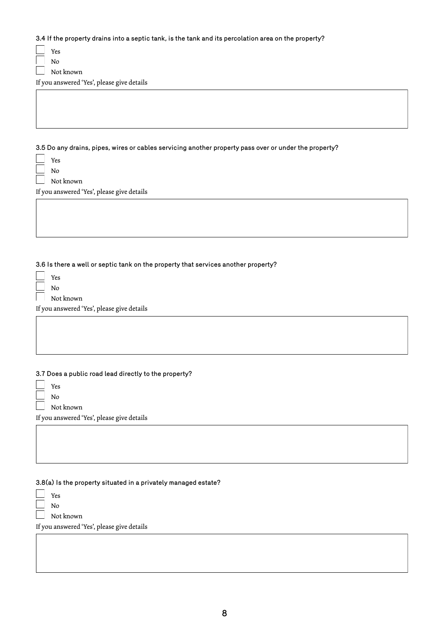| 3.4 If the property drains into a septic tank, is the tank and its percolation area on the property?  |
|-------------------------------------------------------------------------------------------------------|
| Yes                                                                                                   |
| $\rm No$                                                                                              |
| Not known                                                                                             |
| If you answered 'Yes', please give details                                                            |
|                                                                                                       |
|                                                                                                       |
|                                                                                                       |
|                                                                                                       |
|                                                                                                       |
| 3.5 Do any drains, pipes, wires or cables servicing another property pass over or under the property? |
| Yes                                                                                                   |
| $\rm No$                                                                                              |
| Not known                                                                                             |
| If you answered 'Yes', please give details                                                            |
|                                                                                                       |
|                                                                                                       |
|                                                                                                       |
|                                                                                                       |
|                                                                                                       |
| 3.6 Is there a well or septic tank on the property that services another property?                    |
| Yes                                                                                                   |
| No                                                                                                    |
| Not known                                                                                             |
| If you answered 'Yes', please give details                                                            |
|                                                                                                       |
|                                                                                                       |
|                                                                                                       |
|                                                                                                       |
|                                                                                                       |
| 3.7 Does a public road lead directly to the property?                                                 |
| Yes                                                                                                   |
| No                                                                                                    |
| Not known                                                                                             |
| If you answered 'Yes', please give details                                                            |
|                                                                                                       |
|                                                                                                       |
|                                                                                                       |
|                                                                                                       |
|                                                                                                       |
| 3.8(a) Is the property situated in a privately managed estate?                                        |
| Yes                                                                                                   |
| $\rm No$                                                                                              |
| Not known                                                                                             |
| If you answered 'Yes', please give details                                                            |
|                                                                                                       |
|                                                                                                       |
|                                                                                                       |
|                                                                                                       |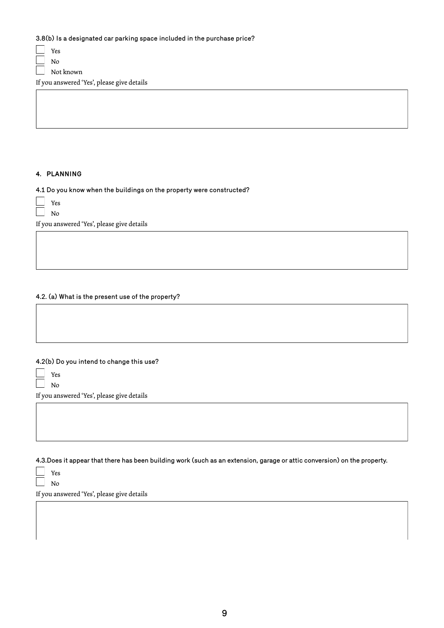3.8(b) Is a designated car parking space included in the purchase price?

Yes No

Not known

If you answered 'Yes', please give details

#### **4. PLANNING**

4.1 Do you know when the buildings on the property were constructed?

If you answered 'Yes', please give details

## 4.2. (a) What is the present use of the property?

4.2(b) Do you intend to change this use?

Yes No

If you answered 'Yes', please give details

4.3.Does it appear that there has been building work (such as an extension, garage or attic conversion) on the property.

Yes

No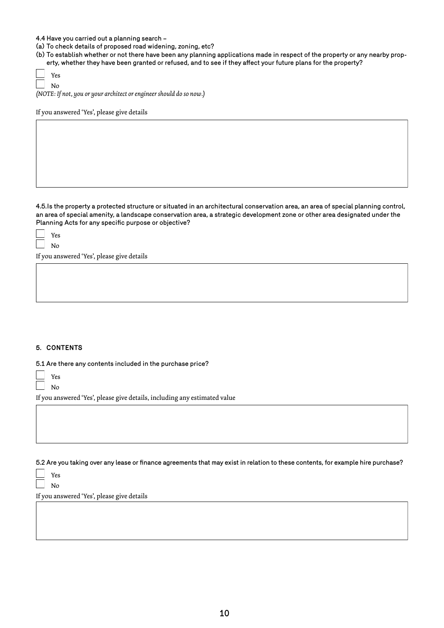## 4.4 Have you carried out a planning search –

(a) To check details of proposed road widening, zoning, etc?

| (b) To establish whether or not there have been any planning applications made in respect of the property or any nearby prop- |
|-------------------------------------------------------------------------------------------------------------------------------|
| erty, whether they have been granted or refused, and to see if they affect your future plans for the property?                |

| $\Box$ Yes |                                                                     |
|------------|---------------------------------------------------------------------|
| $\Box$ No  |                                                                     |
|            | (NOTE: If not, you or your architect or engineer should do so now.) |

If you answered 'Yes', please give details

4.5.Is the property a protected structure or situated in an architectural conservation area, an area of special planning control, an area of special amenity, a landscape conservation area, a strategic development zone or other area designated under the Planning Acts for any specific purpose or objective?

If you answered 'Yes', please give details

## **5. CONTENTS**

5.1 Are there any contents included in the purchase price?

| ×<br>. . |
|----------|
|          |

 $\Box$  No

If you answered 'Yes', please give details, including any estimated value

5.2 Are you taking over any lease or finance agreements that may exist in relation to these contents, for example hire purchase?

Yes No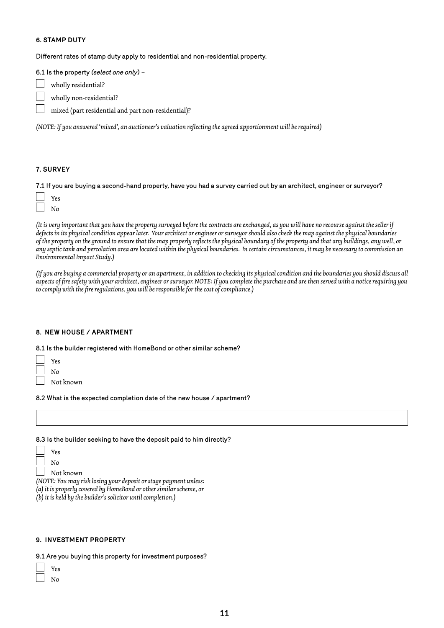#### **6. STAMP DUTY**

Different rates of stamp duty apply to residential and non-residential property.

6.1 Is the property *(select one only*) –

wholly residential?

wholly non-residential?

mixed (part residential and part non-residential)?

*(NOTE: If you answered 'mixed', an auctioneer's valuation reflecting the agreed apportionment will be required)*

#### **7. SURVEY**

7.1 If you are buying a second-hand property, have you had a survey carried out by an architect, engineer or surveyor?

*(It is very important that you have the property surveyed before the contracts are exchanged, as you will have no recourse against the seller if defects in its physical condition appear later. Your architect or engineer or surveyor should also check the map against the physical boundaries of the property on the ground to ensure that the map properly reflects the physical boundary of the property and that any buildings, any well, or any septic tank and percolation area are located within the physical boundaries. In certain circumstances, it may be necessary to commission an Environmental Impact Study.)*

*(If you are buying a commercial property or an apartment, in addition to checking its physical condition and the boundaries you should discuss all aspects of fire safety with your architect, engineer or surveyor. NOTE: If you complete the purchase and are then served with a notice requiring you to comply with the fire regulations, you will be responsible for the cost of compliance.)*

## **8. NEW HOUSE / APARTMENT**

8.1 Is the builder registered with HomeBond or other similar scheme?

Yes No

Not known

8.2 What is the expected completion date of the new house / apartment?

| 8.3 Is the builder seeking to have the deposit paid to him directly? |  |  |  |
|----------------------------------------------------------------------|--|--|--|
|                                                                      |  |  |  |

| es |
|----|
| n  |
|    |

Not known

*(NOTE: You may risk losing your deposit or stage payment unless:*

*(a) it is properly covered by HomeBond or other similar scheme, or*

*(b) it is held by the builder's solicitor until completion.)*

#### **9. INVESTMENT PROPERTY**

9.1 Are you buying this property for investment purposes?

Yes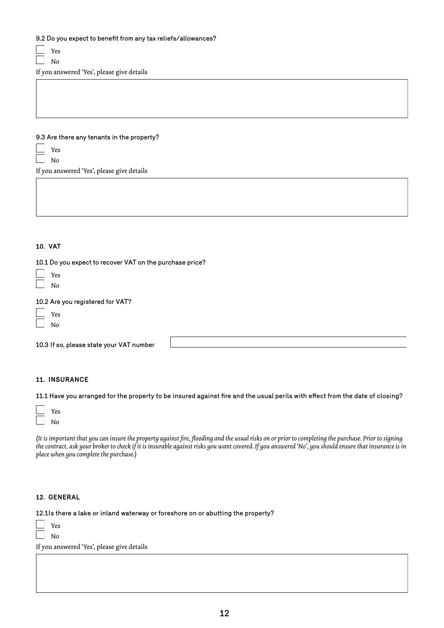|  |  |  |  |  |  |  | 9.2 Do you expect to benefit from any tax reliefs/allowances? |
|--|--|--|--|--|--|--|---------------------------------------------------------------|
|--|--|--|--|--|--|--|---------------------------------------------------------------|

| ۰. |
|----|
|    |

If you answered 'Yes', please give details

### 9.3 Are there any tenants in the property?

If you answered 'Yes', please give details

#### **10. VAT**

10.1 Do you expect to recover VAT on the purchase price?

10.2 Are you registered for VAT?

Yes No

10.3 If so, please state your VAT number

# **11. INSURANCE**

11.1 Have you arranged for the property to be insured against fire and the usual perils with effect from the date of closing?

*(It is important that you can insure the property against fire, flooding and the usual risks on or prior to completing the purchase. Prior to signing the contract, ask your broker to check if it is insurable against risks you want covered. If you answered 'No', you should ensure that insurance is in place when you complete the purchase.)*

# **12. GENERAL**

12.1Is there a lake or inland waterway or foreshore on or abutting the property?

| ×<br>. .<br>n. |
|----------------|
|----------------|

 $\overline{\phantom{a}}$  No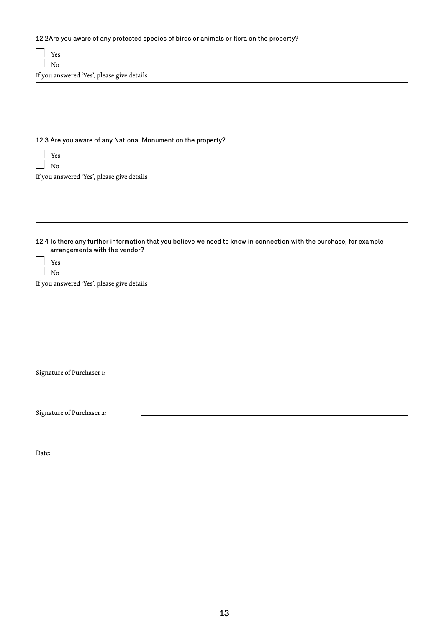12.2Are you aware of any protected species of birds or animals or flora on the property?

Yes No

If you answered 'Yes', please give details

12.3 Are you aware of any National Monument on the property?

| ×<br>×<br>۰ |
|-------------|
|             |

If you answered 'Yes', please give details

12.4 Is there any further information that you believe we need to know in connection with the purchase, for example arrangements with the vendor?

If you answered 'Yes', please give details

Signature of Purchaser 1:

Signature of Purchaser 2:

Date: